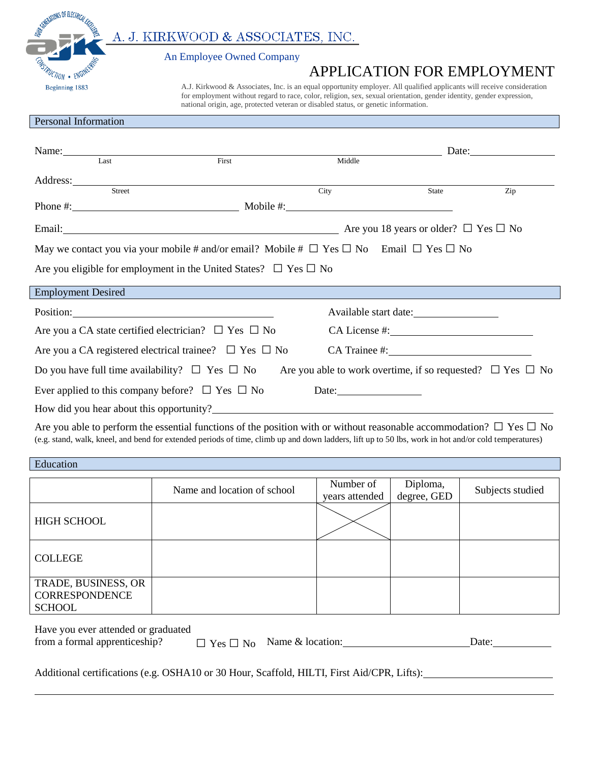A. J. KIRKWOOD & ASSOCIATES, INC.

An Employee Owned Company

## APPLICATION FOR EMPLOYMENT  $\overline{\mathcal{A}PPLICATION FOR EMPLOYMENTBeginning 1883Al. Kirkwood & Associates, Inc. is an equal opportunity employer. All qualified applications will receive consideration$

 for employment without regard to race, color, religion, sex, sexual orientation, gender identity, gender expression, national origin, age, protected veteran or disabled status, or genetic information.

## Personal Information

**SINERATIONS OF ELECTRICAL** 

l

|                                                                                                                               | Name: Name and the same state of the same state of the same state of the same state of the same state of the same state of the same state of the same state of the same state of the same state of the same state of the same |                                                                                                                                                                                                                                                                                     |        |                       | Date: $\frac{1}{\sqrt{1-\frac{1}{2}} \cdot \frac{1}{2}}$ |
|-------------------------------------------------------------------------------------------------------------------------------|-------------------------------------------------------------------------------------------------------------------------------------------------------------------------------------------------------------------------------|-------------------------------------------------------------------------------------------------------------------------------------------------------------------------------------------------------------------------------------------------------------------------------------|--------|-----------------------|----------------------------------------------------------|
|                                                                                                                               | Last                                                                                                                                                                                                                          | First                                                                                                                                                                                                                                                                               | Middle |                       |                                                          |
|                                                                                                                               |                                                                                                                                                                                                                               |                                                                                                                                                                                                                                                                                     |        |                       |                                                          |
|                                                                                                                               | Street                                                                                                                                                                                                                        |                                                                                                                                                                                                                                                                                     | City   | State                 | Zip                                                      |
|                                                                                                                               |                                                                                                                                                                                                                               | Phone #: $\qquad \qquad \qquad$ Mobile #: $\qquad \qquad$ Mobile #:                                                                                                                                                                                                                 |        |                       |                                                          |
|                                                                                                                               |                                                                                                                                                                                                                               | Email: $\Box$ No $\Box$ No $\Box$ No $\Box$ No $\Box$ No $\Box$ No $\Box$ No $\Box$ No $\Box$ No $\Box$ No $\Box$ No $\Box$ No $\Box$ No $\Box$ No $\Box$ No $\Box$ No $\Box$ No $\Box$ No $\Box$ No $\Box$ No $\Box$ No $\Box$ No $\Box$ No $\Box$ No $\Box$ No $\Box$ No $\Box$ N |        |                       |                                                          |
| May we contact you via your mobile # and/or email? Mobile # $\Box$ Yes $\Box$ No Email $\Box$ Yes $\Box$ No                   |                                                                                                                                                                                                                               |                                                                                                                                                                                                                                                                                     |        |                       |                                                          |
| Are you eligible for employment in the United States? $\Box$ Yes $\Box$ No                                                    |                                                                                                                                                                                                                               |                                                                                                                                                                                                                                                                                     |        |                       |                                                          |
|                                                                                                                               | <b>Employment Desired</b>                                                                                                                                                                                                     |                                                                                                                                                                                                                                                                                     |        |                       |                                                          |
|                                                                                                                               |                                                                                                                                                                                                                               | Position: Position:                                                                                                                                                                                                                                                                 |        | Available start date: |                                                          |
|                                                                                                                               |                                                                                                                                                                                                                               | Are you a CA state certified electrician? $\Box$ Yes $\Box$ No                                                                                                                                                                                                                      |        | CA License #:         |                                                          |
| Are you a CA registered electrical trainee? $\Box$ Yes $\Box$ No                                                              |                                                                                                                                                                                                                               |                                                                                                                                                                                                                                                                                     |        |                       |                                                          |
| Do you have full time availability? $\Box$ Yes $\Box$ No Are you able to work overtime, if so requested? $\Box$ Yes $\Box$ No |                                                                                                                                                                                                                               |                                                                                                                                                                                                                                                                                     |        |                       |                                                          |
| Ever applied to this company before? $\Box$ Yes $\Box$ No<br>Date: $\qquad \qquad$                                            |                                                                                                                                                                                                                               |                                                                                                                                                                                                                                                                                     |        |                       |                                                          |
|                                                                                                                               |                                                                                                                                                                                                                               |                                                                                                                                                                                                                                                                                     |        |                       |                                                          |

Are you able to perform the essential functions of the position with or without reasonable accommodation?  $\Box$  Yes  $\Box$  No (e.g. stand, walk, kneel, and bend for extended periods of time, climb up and down ladders, lift up to 50 lbs, work in hot and/or cold temperatures)

| Education                                              |                             |                             |                         |                  |
|--------------------------------------------------------|-----------------------------|-----------------------------|-------------------------|------------------|
|                                                        | Name and location of school | Number of<br>years attended | Diploma,<br>degree, GED | Subjects studied |
| <b>HIGH SCHOOL</b>                                     |                             |                             |                         |                  |
| <b>COLLEGE</b>                                         |                             |                             |                         |                  |
| TRADE, BUSINESS, OR<br>CORRESPONDENCE<br><b>SCHOOL</b> |                             |                             |                         |                  |

| Have you ever attended or graduated |                                       |       |
|-------------------------------------|---------------------------------------|-------|
| from a formal apprenticeship?       | $\Box$ Yes $\Box$ No Name & location: | Date: |

Additional certifications (e.g. OSHA10 or 30 Hour, Scaffold, HILTI, First Aid/CPR, Lifts):